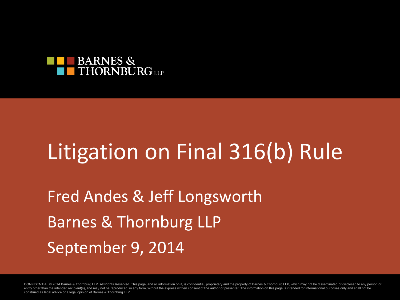

### Litigation on Final 316(b) Rule

Fred Andes & Jeff Longsworth Barnes & Thornburg LLP September 9, 2014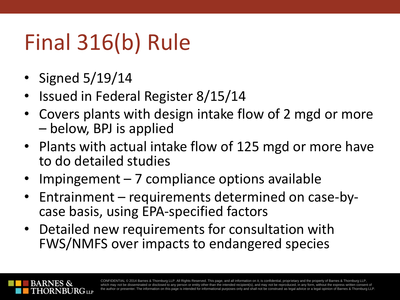# Final 316(b) Rule

- Signed 5/19/14
- Issued in Federal Register 8/15/14
- Covers plants with design intake flow of 2 mgd or more – below, BPJ is applied
- Plants with actual intake flow of 125 mgd or more have to do detailed studies
- Impingement 7 compliance options available
- Entrainment requirements determined on case-bycase basis, using EPA-specified factors
- Detailed new requirements for consultation with FWS/NMFS over impacts to endangered species

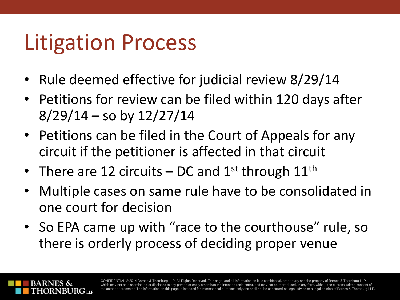## Litigation Process

- Rule deemed effective for judicial review 8/29/14
- Petitions for review can be filed within 120 days after  $8/29/14$  – so by  $12/27/14$
- Petitions can be filed in the Court of Appeals for any circuit if the petitioner is affected in that circuit
- There are 12 circuits DC and  $1^{st}$  through  $11^{th}$
- Multiple cases on same rule have to be consolidated in one court for decision
- So EPA came up with "race to the courthouse" rule, so there is orderly process of deciding proper venue

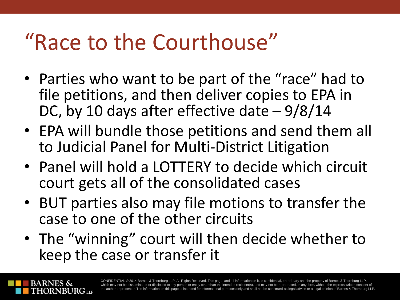## "Race to the Courthouse"

- Parties who want to be part of the "race" had to file petitions, and then deliver copies to EPA in DC, by 10 days after effective date – 9/8/14
- EPA will bundle those petitions and send them all to Judicial Panel for Multi-District Litigation
- Panel will hold a LOTTERY to decide which circuit court gets all of the consolidated cases
- BUT parties also may file motions to transfer the case to one of the other circuits
- The "winning" court will then decide whether to keep the case or transfer it

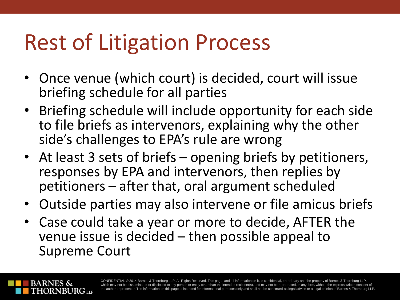## Rest of Litigation Process

- Once venue (which court) is decided, court will issue briefing schedule for all parties
- Briefing schedule will include opportunity for each side to file briefs as intervenors, explaining why the other side's challenges to EPA's rule are wrong
- At least 3 sets of briefs opening briefs by petitioners, responses by EPA and intervenors, then replies by petitioners – after that, oral argument scheduled
- Outside parties may also intervene or file amicus briefs
- Case could take a year or more to decide, AFTER the venue issue is decided – then possible appeal to Supreme Court

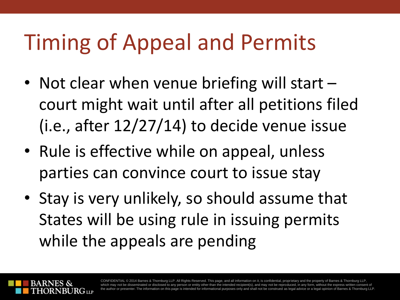## Timing of Appeal and Permits

- Not clear when venue briefing will start court might wait until after all petitions filed (i.e., after 12/27/14) to decide venue issue
- Rule is effective while on appeal, unless parties can convince court to issue stay
- Stay is very unlikely, so should assume that States will be using rule in issuing permits while the appeals are pending

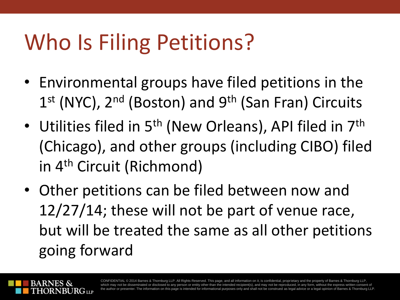# Who Is Filing Petitions?

- Environmental groups have filed petitions in the 1<sup>st</sup> (NYC), 2<sup>nd</sup> (Boston) and 9<sup>th</sup> (San Fran) Circuits
- Utilities filed in 5<sup>th</sup> (New Orleans), API filed in 7<sup>th</sup> (Chicago), and other groups (including CIBO) filed in 4th Circuit (Richmond)
- Other petitions can be filed between now and 12/27/14; these will not be part of venue race, but will be treated the same as all other petitions going forward

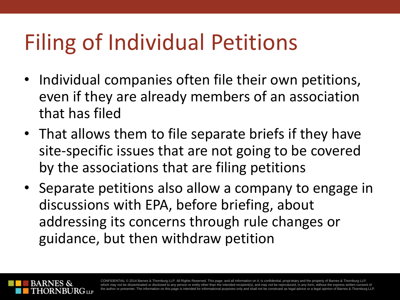# Filing of Individual Petitions

- Individual companies often file their own petitions, even if they are already members of an association that has filed
- That allows them to file separate briefs if they have site-specific issues that are not going to be covered by the associations that are filing petitions
- Separate petitions also allow a company to engage in discussions with EPA, before briefing, about addressing its concerns through rule changes or guidance, but then withdraw petition

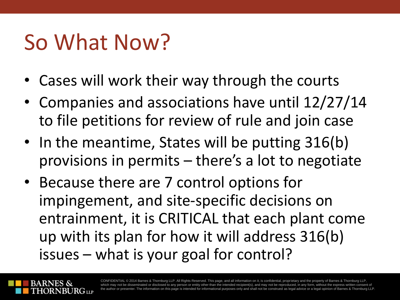#### So What Now?

- Cases will work their way through the courts
- Companies and associations have until 12/27/14 to file petitions for review of rule and join case
- In the meantime, States will be putting 316(b) provisions in permits – there's a lot to negotiate
- Because there are 7 control options for impingement, and site-specific decisions on entrainment, it is CRITICAL that each plant come up with its plan for how it will address 316(b) issues – what is your goal for control?